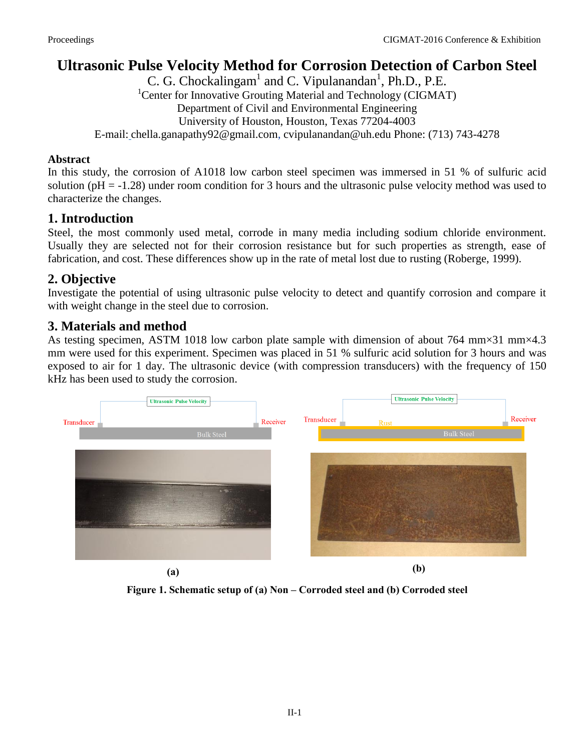# **Ultrasonic Pulse Velocity Method for Corrosion Detection of Carbon Steel**

C. G. Chockalingam<sup>1</sup> and C. Vipulanandan<sup>1</sup>, Ph.D., P.E. <sup>1</sup>Center for Innovative Grouting Material and Technology (CIGMAT) Department of Civil and Environmental Engineering University of Houston, Houston, Texas 77204-4003 E-mail: chella.ganapathy92@gmail.com, cvipulanandan@uh.edu Phone: (713) 743-4278

#### **Abstract**

In this study, the corrosion of A1018 low carbon steel specimen was immersed in 51 % of sulfuric acid solution ( $pH = -1.28$ ) under room condition for 3 hours and the ultrasonic pulse velocity method was used to characterize the changes.

### **1. Introduction**

Steel, the most commonly used metal, corrode in many media including sodium chloride environment. Usually they are selected not for their corrosion resistance but for such properties as strength, ease of fabrication, and cost. These differences show up in the rate of metal lost due to rusting (Roberge, 1999).

# **2. Objective**

Investigate the potential of using ultrasonic pulse velocity to detect and quantify corrosion and compare it with weight change in the steel due to corrosion.

# **3. Materials and method**

As testing specimen, ASTM 1018 low carbon plate sample with dimension of about 764 mm×31 mm×4.3 mm were used for this experiment. Specimen was placed in 51 % sulfuric acid solution for 3 hours and was exposed to air for 1 day. The ultrasonic device (with compression transducers) with the frequency of 150 kHz has been used to study the corrosion.



**Figure 1. Schematic setup of (a) Non – Corroded steel and (b) Corroded steel**